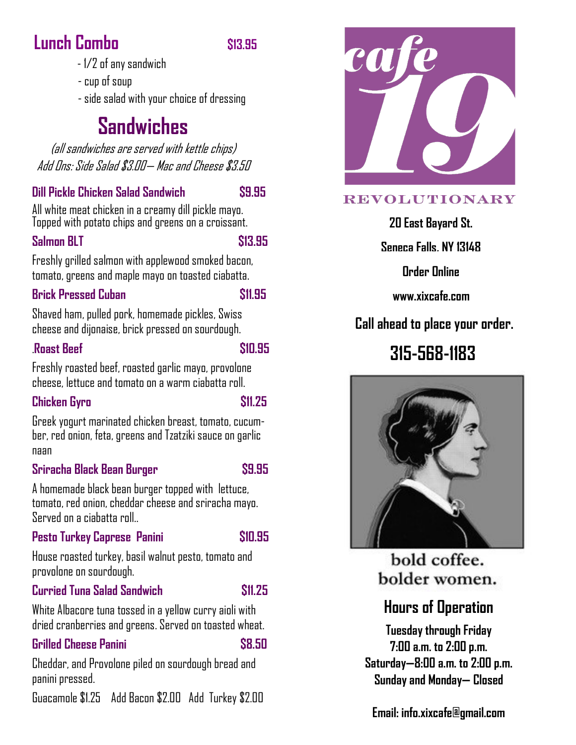# **Lunch Combo \$13.95**

#### - 1/2 of any sandwich

- cup of soup
- side salad with your choice of dressing

# **Sandwiches**

(all sandwiches are served with kettle chips) Add Ons: Side Salad \$3.00— Mac and Cheese \$3.50

#### **Dill Pickle Chicken Salad Sandwich \$9.95**

All white meat chicken in a creamy dill pickle mayo. Topped with potato chips and greens on a croissant.

#### **Salmon BLT** \$13.95

Freshly grilled salmon with applewood smoked bacon, tomato, greens and maple mayo on toasted ciabatta.

#### **Brick Pressed Cuban \$11.95**

Shaved ham, pulled pork, homemade pickles, Swiss cheese and dijonaise, brick pressed on sourdough.

#### .**Roast Beef \$10.95**

Freshly roasted beef, roasted garlic mayo, provolone cheese, lettuce and tomato on a warm ciabatta roll.

#### **Chicken Gyro \$11.25**

Greek yogurt marinated chicken breast, tomato, cucumber, red onion, feta, greens and Tzatziki sauce on garlic naan

#### **Sriracha Black Bean Burger \$9.95**

A homemade black bean burger topped with lettuce, tomato, red onion, cheddar cheese and sriracha mayo. Served on a ciabatta roll..

#### **Pesto Turkey Caprese Panini \$10.95**

House roasted turkey, basil walnut pesto, tomato and provolone on sourdough.

#### **Curried Tuna Salad Sandwich \$11.25**

White Albacore tuna tossed in a yellow curry aioli with dried cranberries and greens. Served on toasted wheat.

#### **Grilled Cheese Panini \$8.50**

Cheddar, and Provolone piled on sourdough bread and panini pressed.

Guacamole \$1.25 Add Bacon \$2.00 Add Turkey \$2.00



#### **REVOLUTIONARY**

**20 East Bayard St.** 

**Seneca Falls, NY 13148**

**Order Online** 

**www.xixcafe.com**

## **Call ahead to place your order.**

# **315-568-1183**



bold coffee. bolder women.

# **Hours of Operation**

**Tuesday through Friday 7:00 a.m. to 2:00 p.m. Saturday—8:00 a.m. to 2:00 p.m. Sunday and Monday— Closed**

**Email: info.xixcafe@gmail.com**